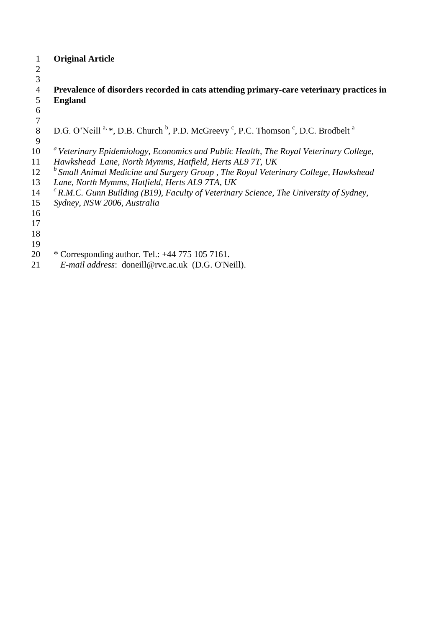|                | <b>Original Article</b>                                                                                                                       |
|----------------|-----------------------------------------------------------------------------------------------------------------------------------------------|
| $\overline{2}$ |                                                                                                                                               |
| 3              |                                                                                                                                               |
| $\overline{4}$ | Prevalence of disorders recorded in cats attending primary-care veterinary practices in                                                       |
| 5              | <b>England</b>                                                                                                                                |
| 6              |                                                                                                                                               |
| $\tau$         |                                                                                                                                               |
| 8              | D.G. O'Neill <sup>a, *</sup> , D.B. Church <sup>b</sup> , P.D. McGreevy <sup>c</sup> , P.C. Thomson <sup>c</sup> , D.C. Brodbelt <sup>a</sup> |
| 9              |                                                                                                                                               |
| 10             | <sup>a</sup> Veterinary Epidemiology, Economics and Public Health, The Royal Veterinary College,                                              |
| 11             | Hawkshead Lane, North Mymms, Hatfield, Herts AL9 7T, UK                                                                                       |
| 12             | <sup>b</sup> Small Animal Medicine and Surgery Group, The Royal Veterinary College, Hawkshead                                                 |
| 13             | Lane, North Mymms, Hatfield, Herts AL9 7TA, UK                                                                                                |
| 14             | ${}^{c}$ R.M.C. Gunn Building (B19), Faculty of Veterinary Science, The University of Sydney,                                                 |
| 15             | Sydney, NSW 2006, Australia                                                                                                                   |
| 16             |                                                                                                                                               |
| 17             |                                                                                                                                               |
| 18             |                                                                                                                                               |
| 19             |                                                                                                                                               |
| 20             | * Corresponding author. Tel.: $+44$ 775 105 7161.                                                                                             |
| 21             | E-mail address: doneill@rvc.ac.uk (D.G. O'Neill).                                                                                             |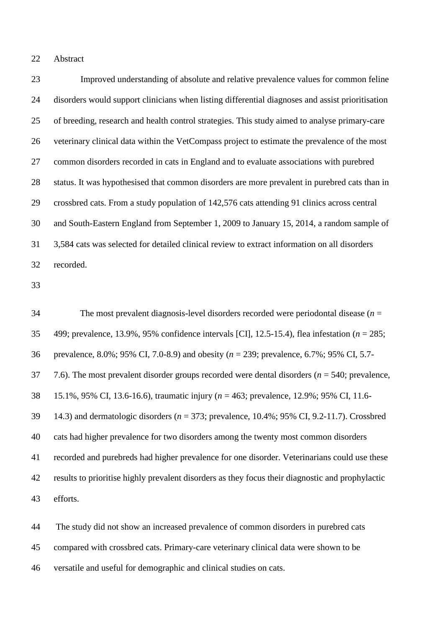#### Abstract

 Improved understanding of absolute and relative prevalence values for common feline disorders would support clinicians when listing differential diagnoses and assist prioritisation of breeding, research and health control strategies. This study aimed to analyse primary-care veterinary clinical data within the VetCompass project to estimate the prevalence of the most common disorders recorded in cats in England and to evaluate associations with purebred status. It was hypothesised that common disorders are more prevalent in purebred cats than in crossbred cats. From a study population of 142,576 cats attending 91 clinics across central and South-Eastern England from September 1, 2009 to January 15, 2014, a random sample of 3,584 cats was selected for detailed clinical review to extract information on all disorders recorded.

 The most prevalent diagnosis-level disorders recorded were periodontal disease (*n* = 499; prevalence, 13.9%, 95% confidence intervals [CI], 12.5-15.4), flea infestation (*n* = 285; prevalence, 8.0%; 95% CI, 7.0-8.9) and obesity (*n* = 239; prevalence, 6.7%; 95% CI, 5.7- 7.6). The most prevalent disorder groups recorded were dental disorders (*n* = 540; prevalence, 15.1%, 95% CI, 13.6-16.6), traumatic injury (*n* = 463; prevalence, 12.9%; 95% CI, 11.6- 14.3) and dermatologic disorders (*n* = 373; prevalence, 10.4%; 95% CI, 9.2-11.7). Crossbred cats had higher prevalence for two disorders among the twenty most common disorders recorded and purebreds had higher prevalence for one disorder. Veterinarians could use these results to prioritise highly prevalent disorders as they focus their diagnostic and prophylactic efforts.

 The study did not show an increased prevalence of common disorders in purebred cats compared with crossbred cats. Primary-care veterinary clinical data were shown to be versatile and useful for demographic and clinical studies on cats.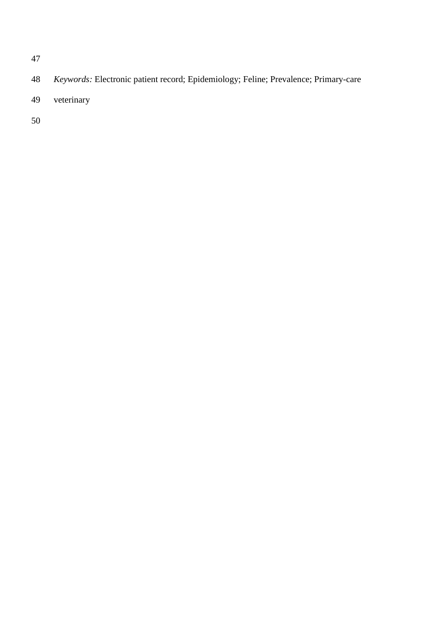- *Keywords:* Electronic patient record; Epidemiology; Feline; Prevalence; Primary-care
- veterinary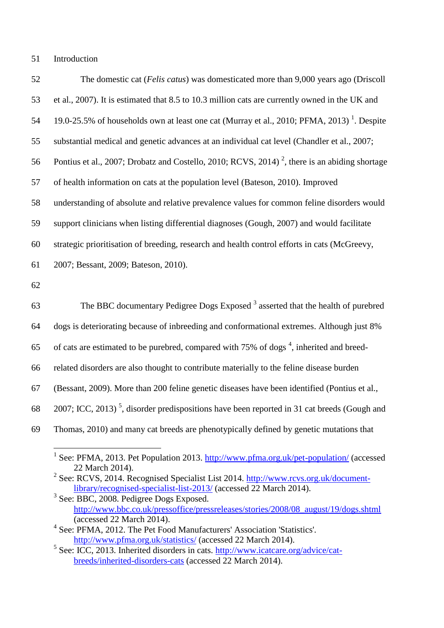### Introduction

| 52 | The domestic cat (Felis catus) was domesticated more than 9,000 years ago (Driscoll                       |
|----|-----------------------------------------------------------------------------------------------------------|
| 53 | et al., 2007). It is estimated that 8.5 to 10.3 million cats are currently owned in the UK and            |
| 54 | 19.0-25.5% of households own at least one cat (Murray et al., 2010; PFMA, 2013) <sup>1</sup> . Despite    |
| 55 | substantial medical and genetic advances at an individual cat level (Chandler et al., 2007;               |
| 56 | Pontius et al., 2007; Drobatz and Costello, 2010; RCVS, 2014) <sup>2</sup> , there is an abiding shortage |
| 57 | of health information on cats at the population level (Bateson, 2010). Improved                           |
| 58 | understanding of absolute and relative prevalence values for common feline disorders would                |
| 59 | support clinicians when listing differential diagnoses (Gough, 2007) and would facilitate                 |
| 60 | strategic prioritisation of breeding, research and health control efforts in cats (McGreevy,              |
| 61 | 2007; Bessant, 2009; Bateson, 2010).                                                                      |
| 62 |                                                                                                           |
| 63 | The BBC documentary Pedigree Dogs Exposed <sup>3</sup> asserted that the health of purebred               |
| 64 | dogs is deteriorating because of inbreeding and conformational extremes. Although just 8%                 |
| 65 | of cats are estimated to be purebred, compared with 75% of dogs <sup>4</sup> , inherited and breed-       |
| 66 | related disorders are also thought to contribute materially to the feline disease burden                  |
| 67 | (Bessant, 2009). More than 200 feline genetic diseases have been identified (Pontius et al.,              |
| 68 | 2007; ICC, 2013) <sup>5</sup> , disorder predispositions have been reported in 31 cat breeds (Gough and   |
| 69 | Thomas, 2010) and many cat breeds are phenotypically defined by genetic mutations that                    |
|    |                                                                                                           |

<sup>1&</sup>lt;br>
<sup>1</sup> See: PFMA, 2013. Pet Population 2013.<http://www.pfma.org.uk/pet-population/> (accessed 22 March 2014).

<sup>&</sup>lt;sup>2</sup> See: RCVS, 2014. Recognised Specialist List 2014. [http://www.rcvs.org.uk/document](http://www.rcvs.org.uk/document-library/recognised-specialist-list-2013/)[library/recognised-specialist-list-2013/](http://www.rcvs.org.uk/document-library/recognised-specialist-list-2013/) (accessed 22 March 2014).

 See: BBC, 2008. Pedigree Dogs Exposed. [http://www.bbc.co.uk/pressoffice/pressreleases/stories/2008/08\\_august/19/dogs.shtml](http://www.bbc.co.uk/pressoffice/pressreleases/stories/2008/08_august/19/dogs.shtml) (accessed 22 March 2014).

<sup>&</sup>lt;sup>4</sup> See: PFMA, 2012. The Pet Food Manufacturers' Association 'Statistics'. <http://www.pfma.org.uk/statistics/> (accessed 22 March 2014).

<sup>&</sup>lt;sup>5</sup> See: ICC, 2013. Inherited disorders in cats. [http://www.icatcare.org/advice/cat](http://www.icatcare.org/advice/cat-breeds/inherited-disorders-cats)[breeds/inherited-disorders-cats](http://www.icatcare.org/advice/cat-breeds/inherited-disorders-cats) (accessed 22 March 2014).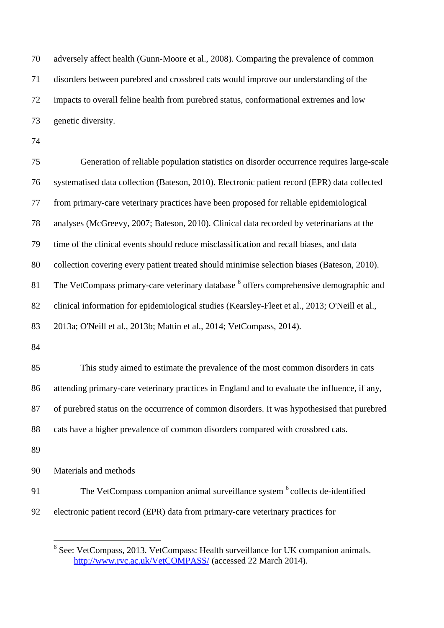adversely affect health [\(Gunn-Moore et al., 2008\)](#page-17-4). Comparing the prevalence of common disorders between purebred and crossbred cats would improve our understanding of the impacts to overall feline health from purebred status, conformational extremes and low genetic diversity.

 Generation of reliable population statistics on disorder occurrence requires large-scale systematised data collection [\(Bateson, 2010\)](#page-16-3). Electronic patient record (EPR) data collected from primary-care veterinary practices have been proposed for reliable epidemiological analyses [\(McGreevy, 2007;](#page-17-1) [Bateson, 2010\)](#page-16-3). Clinical data recorded by veterinarians at the time of the clinical events should reduce misclassification and recall biases, and data collection covering every patient treated should minimise selection biases [\(Bateson, 2010\)](#page-16-3). 81 The VetCompass primary-care veterinary database <sup>6</sup> offers comprehensive demographic and clinical information for epidemiological studies [\(Kearsley-Fleet et al., 2013;](#page-17-5) [O'Neill et al.,](#page-18-4)  [2013a;](#page-18-4) [O'Neill et al., 2013b;](#page-18-5) [Mattin et al., 2014;](#page-17-6) [VetCompass, 2014\)](#page-19-0). This study aimed to estimate the prevalence of the most common disorders in cats attending primary-care veterinary practices in England and to evaluate the influence, if any, of purebred status on the occurrence of common disorders. It was hypothesised that purebred cats have a higher prevalence of common disorders compared with crossbred cats. Materials and methods 91 The VetCompass companion animal surveillance system <sup>6</sup> collects de-identified

electronic patient record (EPR) data from primary-care veterinary practices for

Figure 2.1 and 5.2013. VetCompass: Health surveillance for UK companion animals. <http://www.rvc.ac.uk/VetCOMPASS/> (accessed 22 March 2014).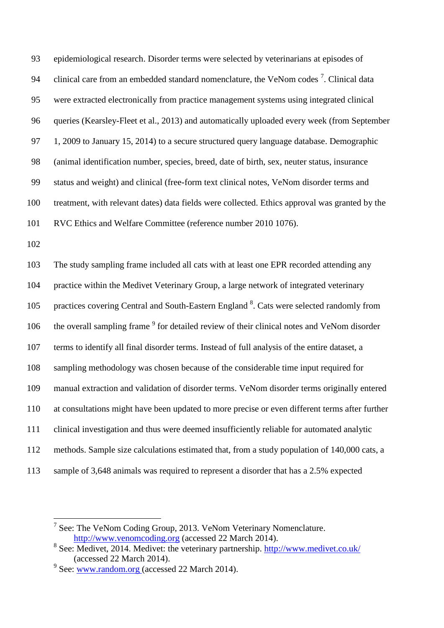epidemiological research. Disorder terms were selected by veterinarians at episodes of 94 clinical care from an embedded standard nomenclature, the VeNom codes<sup>7</sup>. Clinical data were extracted electronically from practice management systems using integrated clinical queries [\(Kearsley-Fleet et al., 2013\)](#page-17-5) and automatically uploaded every week (from September 97 1, 2009 to January 15, 2014) to a secure structured query language database. Demographic (animal identification number, species, breed, date of birth, sex, neuter status, insurance status and weight) and clinical (free-form text clinical notes, VeNom disorder terms and treatment, with relevant dates) data fields were collected. Ethics approval was granted by the RVC Ethics and Welfare Committee (reference number 2010 1076).

 The study sampling frame included all cats with at least one EPR recorded attending any practice within the Medivet Veterinary Group, a large network of integrated veterinary 105 practices covering Central and South-Eastern England <sup>8</sup>. Cats were selected randomly from 106 the overall sampling frame <sup>9</sup> for detailed review of their clinical notes and VeNom disorder terms to identify all final disorder terms. Instead of full analysis of the entire dataset, a sampling methodology was chosen because of the considerable time input required for manual extraction and validation of disorder terms. VeNom disorder terms originally entered at consultations might have been updated to more precise or even different terms after further clinical investigation and thus were deemed insufficiently reliable for automated analytic methods. Sample size calculations estimated that, from a study population of 140,000 cats, a sample of 3,648 animals was required to represent a disorder that has a 2.5% expected

 See: The VeNom Coding Group, 2013. VeNom Veterinary Nomenclature. [http://www.venomcoding.org](http://www.venomcoding.org/) (accessed 22 March 2014).

<sup>&</sup>lt;sup>8</sup> See: Medivet, 2014. Medivet: the veterinary partnership.<http://www.medivet.co.uk/> (accessed 22 March 2014).

<sup>&</sup>lt;sup>9</sup> See: <u>www.random.org</u> (accessed 22 March 2014).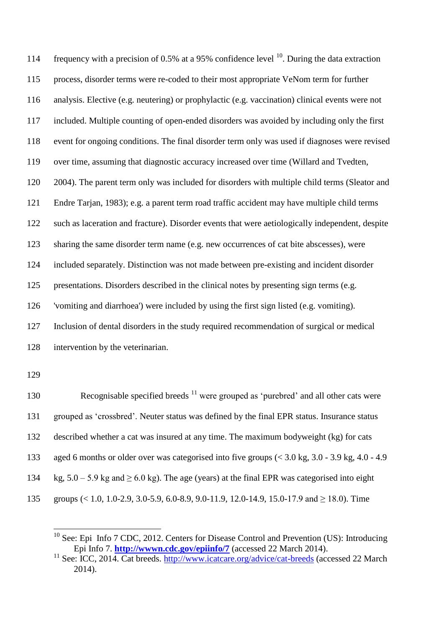114 frequency with a precision of 0.5% at a 95% confidence level  $^{10}$ . During the data extraction process, disorder terms were re-coded to their most appropriate VeNom term for further analysis. Elective (e.g. neutering) or prophylactic (e.g. vaccination) clinical events were not included. Multiple counting of open-ended disorders was avoided by including only the first event for ongoing conditions. The final disorder term only was used if diagnoses were revised over time, assuming that diagnostic accuracy increased over time [\(Willard and Tvedten,](#page-19-1)  [2004\)](#page-19-1). The parent term only was included for disorders with multiple child terms (Sleator and [Endre Tarjan, 1983\)](#page-18-6); e.g. a parent term road traffic accident may have multiple child terms such as laceration and fracture). Disorder events that were aetiologically independent, despite sharing the same disorder term name (e.g. new occurrences of cat bite abscesses), were included separately. Distinction was not made between pre-existing and incident disorder presentations. Disorders described in the clinical notes by presenting sign terms (e.g. 'vomiting and diarrhoea') were included by using the first sign listed (e.g. vomiting). Inclusion of dental disorders in the study required recommendation of surgical or medical intervention by the veterinarian.

<u>.</u>

130 Recognisable specified breeds were grouped as 'purebred' and all other cats were grouped as 'crossbred'. Neuter status was defined by the final EPR status. Insurance status described whether a cat was insured at any time. The maximum bodyweight (kg) for cats aged 6 months or older over was categorised into five groups (< 3.0 kg, 3.0 - 3.9 kg, 4.0 - 4.9 134 kg,  $5.0 - 5.9$  kg and  $> 6.0$  kg). The age (years) at the final EPR was categorised into eight groups (< 1.0, 1.0-2.9, 3.0-5.9, 6.0-8.9, 9.0-11.9, 12.0-14.9, 15.0-17.9 and ≥ 18.0). Time

 See: Epi Info 7 CDC, 2012. Centers for Disease Control and Prevention (US): Introducing Epi Info 7. **<http://wwwn.cdc.gov/epiinfo/7>** (accessed 22 March 2014).

 See: ICC, 2014. Cat breeds.<http://www.icatcare.org/advice/cat-breeds> (accessed 22 March 2014).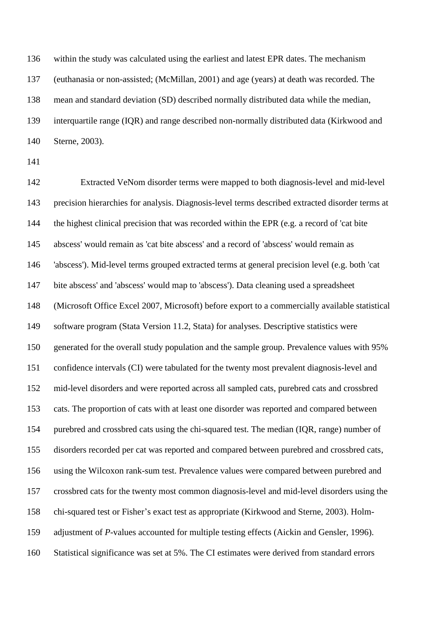within the study was calculated using the earliest and latest EPR dates. The mechanism (euthanasia or non-assisted; [\(McMillan, 2001\)](#page-18-7) and age (years) at death was recorded. The mean and standard deviation (SD) described normally distributed data while the median, interquartile range (IQR) and range described non-normally distributed data [\(Kirkwood and](#page-17-7)  [Sterne, 2003\)](#page-17-7).

 Extracted VeNom disorder terms were mapped to both diagnosis-level and mid-level precision hierarchies for analysis. Diagnosis-level terms described extracted disorder terms at the highest clinical precision that was recorded within the EPR (e.g. a record of 'cat bite abscess' would remain as 'cat bite abscess' and a record of 'abscess' would remain as 'abscess'). Mid-level terms grouped extracted terms at general precision level (e.g. both 'cat bite abscess' and 'abscess' would map to 'abscess'). Data cleaning used a spreadsheet (Microsoft Office Excel 2007, Microsoft) before export to a commercially available statistical software program (Stata Version 11.2, Stata) for analyses. Descriptive statistics were generated for the overall study population and the sample group. Prevalence values with 95% confidence intervals (CI) were tabulated for the twenty most prevalent diagnosis-level and mid-level disorders and were reported across all sampled cats, purebred cats and crossbred cats. The proportion of cats with at least one disorder was reported and compared between purebred and crossbred cats using the chi-squared test. The median (IQR, range) number of disorders recorded per cat was reported and compared between purebred and crossbred cats, using the Wilcoxon rank-sum test. Prevalence values were compared between purebred and crossbred cats for the twenty most common diagnosis-level and mid-level disorders using the chi-squared test or Fisher's exact test as appropriate [\(Kirkwood and Sterne, 2003\)](#page-17-7). Holm- adjustment of *P*-values accounted for multiple testing effects [\(Aickin and Gensler, 1996\)](#page-16-5). Statistical significance was set at 5%. The CI estimates were derived from standard errors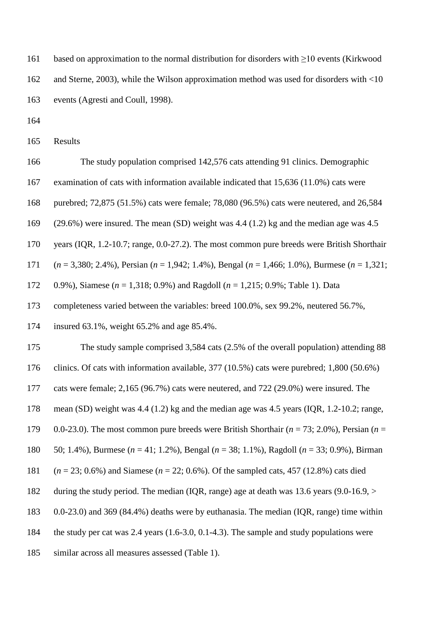based on approximation to the normal distribution for disorders with ≥10 events [\(Kirkwood](#page-17-7)  [and Sterne, 2003\)](#page-17-7), while the Wilson approximation method was used for disorders with <10 events [\(Agresti and Coull, 1998\)](#page-16-6).

Results

The study population comprised 142,576 cats attending 91 clinics. Demographic

examination of cats with information available indicated that 15,636 (11.0%) cats were

purebred; 72,875 (51.5%) cats were female; 78,080 (96.5%) cats were neutered, and 26,584

(29.6%) were insured. The mean (SD) weight was 4.4 (1.2) kg and the median age was 4.5

years (IQR, 1.2-10.7; range, 0.0-27.2). The most common pure breeds were British Shorthair

(*n* = 3,380; 2.4%), Persian (*n* = 1,942; 1.4%), Bengal (*n* = 1,466; 1.0%), Burmese (*n* = 1,321;

0.9%), Siamese (*n* = 1,318; 0.9%) and Ragdoll (*n* = 1,215; 0.9%; Table 1). Data

completeness varied between the variables: breed 100.0%, sex 99.2%, neutered 56.7%,

insured 63.1%, weight 65.2% and age 85.4%.

The study sample comprised 3,584 cats (2.5% of the overall population) attending 88

clinics. Of cats with information available, 377 (10.5%) cats were purebred; 1,800 (50.6%)

cats were female; 2,165 (96.7%) cats were neutered, and 722 (29.0%) were insured. The

mean (SD) weight was 4.4 (1.2) kg and the median age was 4.5 years (IQR, 1.2-10.2; range,

0.0-23.0). The most common pure breeds were British Shorthair (*n* = 73; 2.0%), Persian (*n* =

50; 1.4%), Burmese (*n* = 41; 1.2%), Bengal (*n* = 38; 1.1%), Ragdoll (*n* = 33; 0.9%), Birman

(*n* = 23; 0.6%) and Siamese (*n* = 22; 0.6%). Of the sampled cats, 457 (12.8%) cats died

during the study period. The median (IQR, range) age at death was 13.6 years (9.0-16.9, >

0.0-23.0) and 369 (84.4%) deaths were by euthanasia. The median (IQR, range) time within

the study per cat was 2.4 years (1.6-3.0, 0.1-4.3). The sample and study populations were

similar across all measures assessed (Table 1).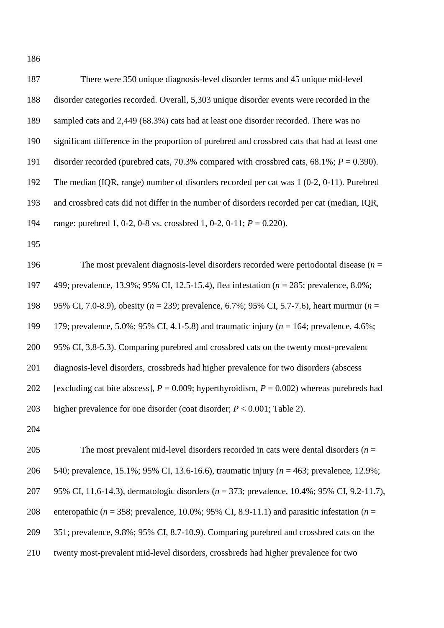There were 350 unique diagnosis-level disorder terms and 45 unique mid-level disorder categories recorded. Overall, 5,303 unique disorder events were recorded in the sampled cats and 2,449 (68.3%) cats had at least one disorder recorded. There was no significant difference in the proportion of purebred and crossbred cats that had at least one disorder recorded (purebred cats, 70.3% compared with crossbred cats, 68.1%; *P* = 0.390). The median (IQR, range) number of disorders recorded per cat was 1 (0-2, 0-11). Purebred and crossbred cats did not differ in the number of disorders recorded per cat (median, IQR, range: purebred 1, 0-2, 0-8 vs. crossbred 1, 0-2, 0-11; *P* = 0.220).

 The most prevalent diagnosis-level disorders recorded were periodontal disease (*n* = 499; prevalence, 13.9%; 95% CI, 12.5-15.4), flea infestation (*n* = 285; prevalence, 8.0%; 95% CI, 7.0-8.9), obesity (*n* = 239; prevalence, 6.7%; 95% CI, 5.7-7.6), heart murmur (*n* = 179; prevalence, 5.0%; 95% CI, 4.1-5.8) and traumatic injury (*n* = 164; prevalence, 4.6%; 95% CI, 3.8-5.3). Comparing purebred and crossbred cats on the twenty most-prevalent diagnosis-level disorders, crossbreds had higher prevalence for two disorders (abscess 202 [excluding cat bite abscess],  $P = 0.009$ ; hyperthyroidism,  $P = 0.002$ ) whereas purebreds had higher prevalence for one disorder (coat disorder; *P* < 0.001; Table 2).

 The most prevalent mid-level disorders recorded in cats were dental disorders (*n* = 540; prevalence, 15.1%; 95% CI, 13.6-16.6), traumatic injury (*n* = 463; prevalence, 12.9%; 95% CI, 11.6-14.3), dermatologic disorders (*n* = 373; prevalence, 10.4%; 95% CI, 9.2-11.7), 208 enteropathic ( $n = 358$ ; prevalence, 10.0%; 95% CI, 8.9-11.1) and parasitic infestation ( $n =$  351; prevalence, 9.8%; 95% CI, 8.7-10.9). Comparing purebred and crossbred cats on the twenty most-prevalent mid-level disorders, crossbreds had higher prevalence for two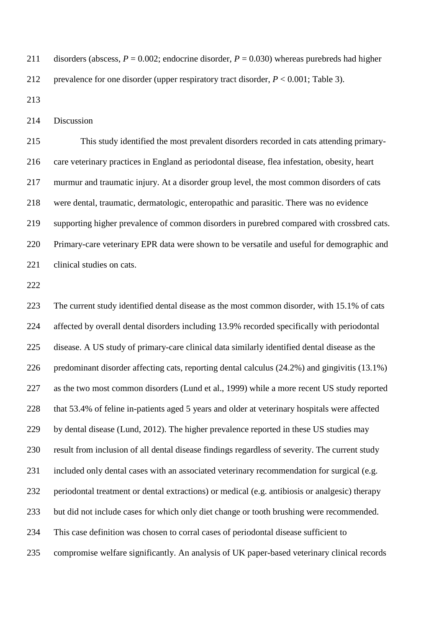211 disorders (abscess,  $P = 0.002$ ; endocrine disorder,  $P = 0.030$ ) whereas purebreds had higher prevalence for one disorder (upper respiratory tract disorder, *P* < 0.001; Table 3).

Discussion

 This study identified the most prevalent disorders recorded in cats attending primary- care veterinary practices in England as periodontal disease, flea infestation, obesity, heart murmur and traumatic injury. At a disorder group level, the most common disorders of cats were dental, traumatic, dermatologic, enteropathic and parasitic. There was no evidence supporting higher prevalence of common disorders in purebred compared with crossbred cats. Primary-care veterinary EPR data were shown to be versatile and useful for demographic and 221 clinical studies on cats.

 The current study identified dental disease as the most common disorder, with 15.1% of cats affected by overall dental disorders including 13.9% recorded specifically with periodontal disease. A US study of primary-care clinical data similarly identified dental disease as the predominant disorder affecting cats, reporting dental calculus (24.2%) and gingivitis (13.1%) as the two most common disorders [\(Lund et al., 1999\)](#page-17-8) while a more recent US study reported that 53.4% of feline in-patients aged 5 years and older at veterinary hospitals were affected by dental disease [\(Lund, 2012\)](#page-17-9). The higher prevalence reported in these US studies may result from inclusion of all dental disease findings regardless of severity. The current study included only dental cases with an associated veterinary recommendation for surgical (e.g. periodontal treatment or dental extractions) or medical (e.g. antibiosis or analgesic) therapy but did not include cases for which only diet change or tooth brushing were recommended. This case definition was chosen to corral cases of periodontal disease sufficient to compromise welfare significantly. An analysis of UK paper-based veterinary clinical records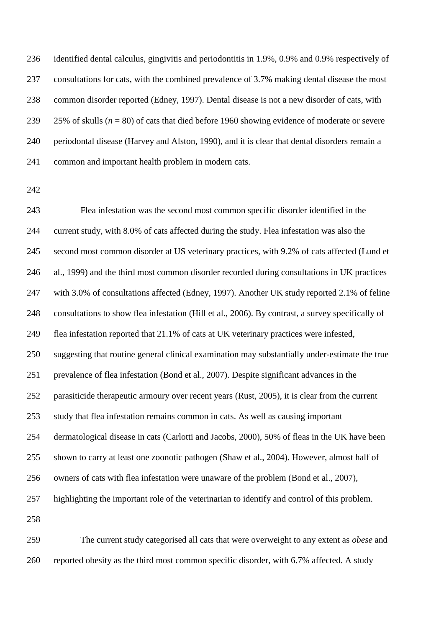identified dental calculus, gingivitis and periodontitis in 1.9%, 0.9% and 0.9% respectively of consultations for cats, with the combined prevalence of 3.7% making dental disease the most common disorder reported [\(Edney, 1997\)](#page-16-7). Dental disease is not a new disorder of cats, with 25% of skulls (*n* = 80) of cats that died before 1960 showing evidence of moderate or severe periodontal disease [\(Harvey and Alston, 1990\)](#page-17-10), and it is clear that dental disorders remain a common and important health problem in modern cats.

 Flea infestation was the second most common specific disorder identified in the current study, with 8.0% of cats affected during the study. Flea infestation was also the second most common disorder at US veterinary practices, with 9.2% of cats affected [\(Lund et](#page-17-8)  [al., 1999\)](#page-17-8) and the third most common disorder recorded during consultations in UK practices with 3.0% of consultations affected [\(Edney, 1997\)](#page-16-7). Another UK study reported 2.1% of feline consultations to show flea infestation [\(Hill et al., 2006\)](#page-17-11). By contrast, a survey specifically of flea infestation reported that 21.1% of cats at UK veterinary practices were infested, suggesting that routine general clinical examination may substantially under-estimate the true prevalence of flea infestation [\(Bond et al., 2007\)](#page-16-8). Despite significant advances in the parasiticide therapeutic armoury over recent years [\(Rust, 2005\)](#page-18-8), it is clear from the current study that flea infestation remains common in cats. As well as causing important dermatological disease in cats (Carlotti [and Jacobs, 2000\)](#page-16-9), 50% of fleas in the UK have been shown to carry at least one zoonotic pathogen [\(Shaw et al., 2004\)](#page-18-9). However, almost half of owners of cats with flea infestation were unaware of the problem [\(Bond et al., 2007\)](#page-16-8), highlighting the important role of the veterinarian to identify and control of this problem. 

 The current study categorised all cats that were overweight to any extent as *obese* and reported obesity as the third most common specific disorder, with 6.7% affected. A study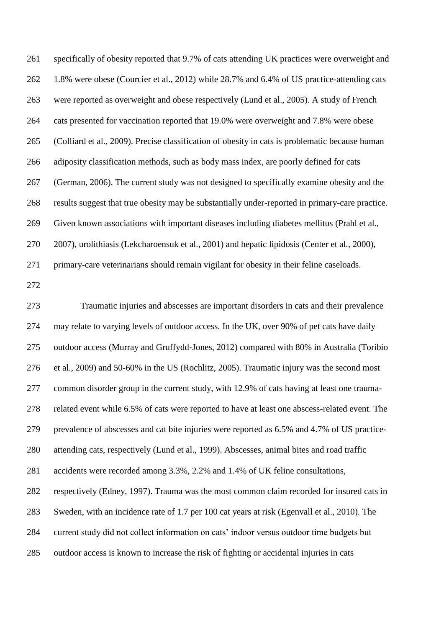specifically of obesity reported that 9.7% of cats attending UK practices were overweight and 1.8% were obese [\(Courcier et al., 2012\)](#page-16-10) while 28.7% and 6.4% of US practice-attending cats were reported as overweight and obese respectively [\(Lund et al., 2005\)](#page-17-12). A study of French cats presented for vaccination reported that 19.0% were overweight and 7.8% were obese [\(Colliard et al., 2009\)](#page-16-11). Precise classification of obesity in cats is problematic because human adiposity classification methods, such as body mass index, are poorly defined for cats [\(German, 2006\)](#page-17-13). The current study was not designed to specifically examine obesity and the results suggest that true obesity may be substantially under-reported in primary-care practice. Given known associations with important diseases including diabetes mellitus [\(Prahl et al.,](#page-18-10)  [2007\)](#page-18-10), urolithiasis [\(Lekcharoensuk et al., 2001\)](#page-17-14) and hepatic lipidosis [\(Center et al., 2000\)](#page-16-12), primary-care veterinarians should remain vigilant for obesity in their feline caseloads.

 Traumatic injuries and abscesses are important disorders in cats and their prevalence may relate to varying levels of outdoor access. In the UK, over 90% of pet cats have daily outdoor access [\(Murray and Gruffydd-Jones, 2012\)](#page-18-11) compared with 80% in Australia [\(Toribio](#page-19-2)  [et al., 2009\)](#page-19-2) and 50-60% in the US [\(Rochlitz, 2005\)](#page-18-12). Traumatic injury was the second most common disorder group in the current study, with 12.9% of cats having at least one trauma- related event while 6.5% of cats were reported to have at least one abscess-related event. The prevalence of abscesses and cat bite injuries were reported as 6.5% and 4.7% of US practice- attending cats, respectively [\(Lund et al., 1999\)](#page-17-8). Abscesses, animal bites and road traffic accidents were recorded among 3.3%, 2.2% and 1.4% of UK feline consultations, respectively [\(Edney, 1997\)](#page-16-7). Trauma was the most common claim recorded for insured cats in Sweden, with an incidence rate of 1.7 per 100 cat years at risk [\(Egenvall et al., 2010\)](#page-16-13). The current study did not collect information on cats' indoor versus outdoor time budgets but outdoor access is known to increase the risk of fighting or accidental injuries in cats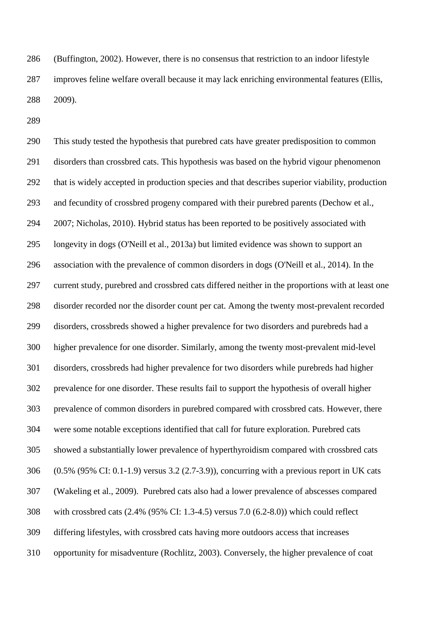[\(Buffington, 2002\)](#page-16-14). However, there is no consensus that restriction to an indoor lifestyle improves feline welfare overall because it may lack enriching environmental features [\(Ellis,](#page-17-15)  [2009\)](#page-17-15).

 This study tested the hypothesis that purebred cats have greater predisposition to common disorders than crossbred cats. This hypothesis was based on the hybrid vigour phenomenon that is widely accepted in production species and that describes superior viability, production and fecundity of crossbred progeny compared with their purebred parents (Dechow et al., 2007; Nicholas, 2010). Hybrid status has been reported to be positively associated with longevity in dogs [\(O'Neill et al., 2013a\)](#page-18-4) but limited evidence was shown to support an association with the prevalence of common disorders in dogs [\(O'Neill et al., 2014\)](#page-18-13). In the current study, purebred and crossbred cats differed neither in the proportions with at least one disorder recorded nor the disorder count per cat. Among the twenty most-prevalent recorded disorders, crossbreds showed a higher prevalence for two disorders and purebreds had a higher prevalence for one disorder. Similarly, among the twenty most-prevalent mid-level disorders, crossbreds had higher prevalence for two disorders while purebreds had higher prevalence for one disorder. These results fail to support the hypothesis of overall higher prevalence of common disorders in purebred compared with crossbred cats. However, there were some notable exceptions identified that call for future exploration. Purebred cats showed a substantially lower prevalence of hyperthyroidism compared with crossbred cats (0.5% (95% CI: 0.1-1.9) versus 3.2 (2.7-3.9)), concurring with a previous report in UK cats [\(Wakeling et al., 2009\)](#page-19-3). Purebred cats also had a lower prevalence of abscesses compared with crossbred cats (2.4% (95% CI: 1.3-4.5) versus 7.0 (6.2-8.0)) which could reflect differing lifestyles, with crossbred cats having more outdoors access that increases opportunity for misadventure [\(Rochlitz, 2003\)](#page-18-14). Conversely, the higher prevalence of coat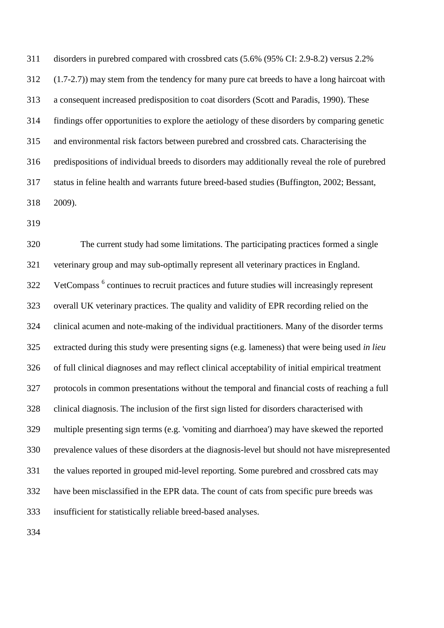disorders in purebred compared with crossbred cats (5.6% (95% CI: 2.9-8.2) versus 2.2% (1.7-2.7)) may stem from the tendency for many pure cat breeds to have a long haircoat with a consequent increased predisposition to coat disorders [\(Scott and Paradis, 1990\)](#page-18-15). These findings offer opportunities to explore the aetiology of these disorders by comparing genetic and environmental risk factors between purebred and crossbred cats. Characterising the predispositions of individual breeds to disorders may additionally reveal the role of purebred status in feline health and warrants future breed-based studies [\(Buffington, 2002;](#page-16-14) [Bessant,](#page-16-4)  [2009\)](#page-16-4).

 The current study had some limitations. The participating practices formed a single veterinary group and may sub-optimally represent all veterinary practices in England. 322 VetCompass<sup>6</sup> continues to recruit practices and future studies will increasingly represent overall UK veterinary practices. The quality and validity of EPR recording relied on the clinical acumen and note-making of the individual practitioners. Many of the disorder terms extracted during this study were presenting signs (e.g. lameness) that were being used *in lieu* of full clinical diagnoses and may reflect clinical acceptability of initial empirical treatment protocols in common presentations without the temporal and financial costs of reaching a full clinical diagnosis. The inclusion of the first sign listed for disorders characterised with multiple presenting sign terms (e.g. 'vomiting and diarrhoea') may have skewed the reported prevalence values of these disorders at the diagnosis-level but should not have misrepresented the values reported in grouped mid-level reporting. Some purebred and crossbred cats may have been misclassified in the EPR data. The count of cats from specific pure breeds was insufficient for statistically reliable breed-based analyses.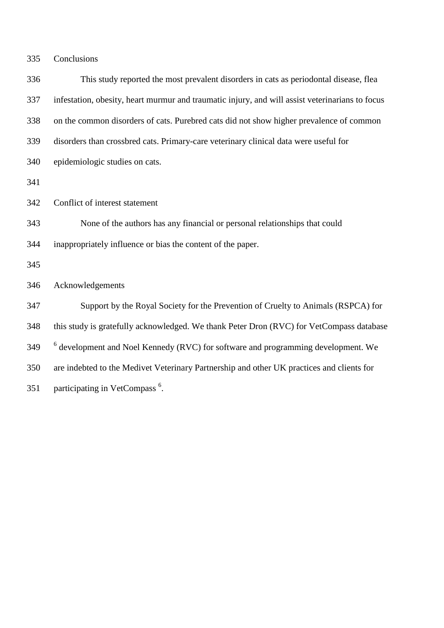Conclusions

| 336 | This study reported the most prevalent disorders in cats as periodontal disease, flea           |
|-----|-------------------------------------------------------------------------------------------------|
| 337 | infestation, obesity, heart murmur and traumatic injury, and will assist veterinarians to focus |
| 338 | on the common disorders of cats. Purebred cats did not show higher prevalence of common         |
| 339 | disorders than crossbred cats. Primary-care veterinary clinical data were useful for            |
| 340 | epidemiologic studies on cats.                                                                  |
| 341 |                                                                                                 |
| 342 | Conflict of interest statement                                                                  |
| 343 | None of the authors has any financial or personal relationships that could                      |
| 344 | inappropriately influence or bias the content of the paper.                                     |
| 345 |                                                                                                 |
| 346 | Acknowledgements                                                                                |
| 347 | Support by the Royal Society for the Prevention of Cruelty to Animals (RSPCA) for               |
| 348 | this study is gratefully acknowledged. We thank Peter Dron (RVC) for VetCompass database        |
| 349 | $6$ development and Noel Kennedy (RVC) for software and programming development. We             |
| 350 | are indebted to the Medivet Veterinary Partnership and other UK practices and clients for       |
| 351 | participating in VetCompass <sup>6</sup> .                                                      |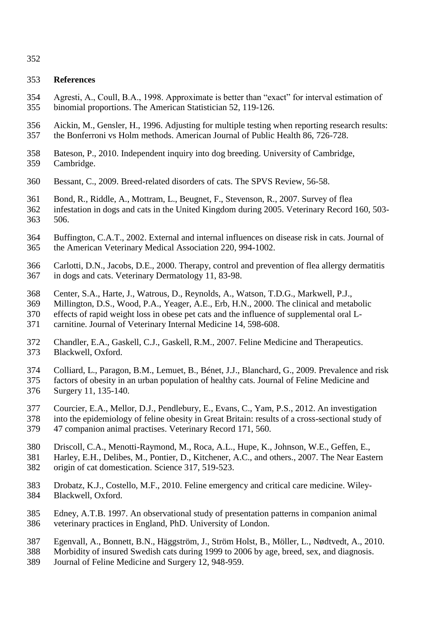### **References**

- <span id="page-16-6"></span> Agresti, A., Coull, B.A., 1998. Approximate is better than "exact" for interval estimation of binomial proportions. The American Statistician 52, 119-126.
- <span id="page-16-5"></span> Aickin, M., Gensler, H., 1996. Adjusting for multiple testing when reporting research results: the Bonferroni vs Holm methods. American Journal of Public Health 86, 726-728.
- <span id="page-16-3"></span> Bateson, P., 2010. Independent inquiry into dog breeding. University of Cambridge, Cambridge.
- <span id="page-16-8"></span><span id="page-16-4"></span>Bessant, C., 2009. Breed-related disorders of cats. The SPVS Review, 56-58.
- Bond, R., Riddle, A., Mottram, L., Beugnet, F., Stevenson, R., 2007. Survey of flea
- infestation in dogs and cats in the United Kingdom during 2005. Veterinary Record 160, 503- 506.
- <span id="page-16-14"></span> Buffington, C.A.T., 2002. External and internal influences on disease risk in cats. Journal of the American Veterinary Medical Association 220, 994-1002.
- <span id="page-16-9"></span> Carlotti, D.N., Jacobs, D.E., 2000. Therapy, control and prevention of flea allergy dermatitis in dogs and cats. Veterinary Dermatology 11, 83-98.
- <span id="page-16-12"></span>Center, S.A., Harte, J., Watrous, D., Reynolds, A., Watson, T.D.G., Markwell, P.J.,
- Millington, D.S., Wood, P.A., Yeager, A.E., Erb, H.N., 2000. The clinical and metabolic effects of rapid weight loss in obese pet cats and the influence of supplemental oral L-carnitine. Journal of Veterinary Internal Medicine 14, 598-608.
- <span id="page-16-1"></span> Chandler, E.A., Gaskell, C.J., Gaskell, R.M., 2007. Feline Medicine and Therapeutics. Blackwell, Oxford.
- <span id="page-16-11"></span>Colliard, L., Paragon, B.M., Lemuet, B., Bénet, J.J., Blanchard, G., 2009. Prevalence and risk
- factors of obesity in an urban population of healthy cats. Journal of Feline Medicine and Surgery 11, 135-140.
- <span id="page-16-10"></span>Courcier, E.A., Mellor, D.J., Pendlebury, E., Evans, C., Yam, P.S., 2012. An investigation
- into the epidemiology of feline obesity in Great Britain: results of a cross-sectional study of 47 companion animal practises. Veterinary Record 171, 560.
- <span id="page-16-0"></span>Driscoll, C.A., Menotti-Raymond, M., Roca, A.L., Hupe, K., Johnson, W.E., Geffen, E.,
- Harley, E.H., Delibes, M., Pontier, D., Kitchener, A.C., and others., 2007. The Near Eastern origin of cat domestication. Science 317, 519-523.
- <span id="page-16-2"></span> Drobatz, K.J., Costello, M.F., 2010. Feline emergency and critical care medicine. Wiley-Blackwell, Oxford.
- <span id="page-16-7"></span> Edney, A.T.B. 1997. An observational study of presentation patterns in companion animal veterinary practices in England, PhD. University of London.
- <span id="page-16-13"></span>Egenvall, A., Bonnett, B.N., Häggström, J., Ström Holst, B., Möller, L., Nødtvedt, A., 2010.
- Morbidity of insured Swedish cats during 1999 to 2006 by age, breed, sex, and diagnosis.
- Journal of Feline Medicine and Surgery 12, 948-959.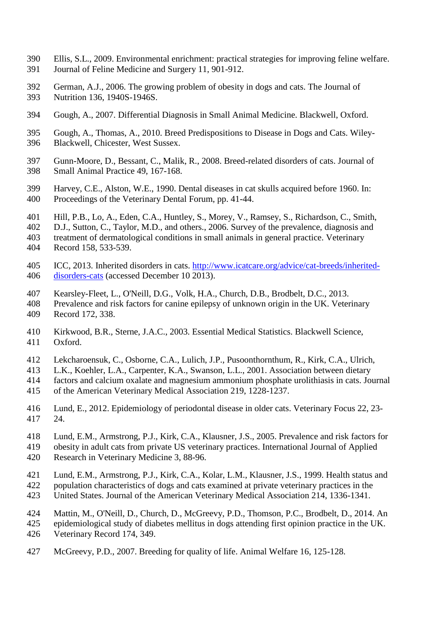- <span id="page-17-15"></span> Ellis, S.L., 2009. Environmental enrichment: practical strategies for improving feline welfare. Journal of Feline Medicine and Surgery 11, 901-912.
- <span id="page-17-13"></span> German, A.J., 2006. The growing problem of obesity in dogs and cats. The Journal of Nutrition 136, 1940S-1946S.
- <span id="page-17-0"></span>Gough, A., 2007. Differential Diagnosis in Small Animal Medicine. Blackwell, Oxford.
- <span id="page-17-3"></span> Gough, A., Thomas, A., 2010. Breed Predispositions to Disease in Dogs and Cats. Wiley-Blackwell, Chicester, West Sussex.
- <span id="page-17-4"></span> Gunn-Moore, D., Bessant, C., Malik, R., 2008. Breed-related disorders of cats. Journal of Small Animal Practice 49, 167-168.
- <span id="page-17-10"></span> Harvey, C.E., Alston, W.E., 1990. Dental diseases in cat skulls acquired before 1960. In: Proceedings of the Veterinary Dental Forum, pp. 41-44.
- <span id="page-17-11"></span>Hill, P.B., Lo, A., Eden, C.A., Huntley, S., Morey, V., Ramsey, S., Richardson, C., Smith,
- D.J., Sutton, C., Taylor, M.D., and others., 2006. Survey of the prevalence, diagnosis and
- treatment of dermatological conditions in small animals in general practice. Veterinary
- Record 158, 533-539.
- <span id="page-17-2"></span> ICC, 2013. Inherited disorders in cats. [http://www.icatcare.org/advice/cat-breeds/inherited-](http://www.icatcare.org/advice/cat-breeds/inherited-disorders-cats)[disorders-cats](http://www.icatcare.org/advice/cat-breeds/inherited-disorders-cats) (accessed December 10 2013).
- <span id="page-17-5"></span>Kearsley-Fleet, L., O'Neill, D.G., Volk, H.A., Church, D.B., Brodbelt, D.C., 2013.
- Prevalence and risk factors for canine epilepsy of unknown origin in the UK. Veterinary Record 172, 338.
- <span id="page-17-7"></span> Kirkwood, B.R., Sterne, J.A.C., 2003. Essential Medical Statistics. Blackwell Science, Oxford.
- <span id="page-17-14"></span>Lekcharoensuk, C., Osborne, C.A., Lulich, J.P., Pusoonthornthum, R., Kirk, C.A., Ulrich,
- L.K., Koehler, L.A., Carpenter, K.A., Swanson, L.L., 2001. Association between dietary
- factors and calcium oxalate and magnesium ammonium phosphate urolithiasis in cats. Journal
- of the American Veterinary Medical Association 219, 1228-1237.
- <span id="page-17-9"></span> Lund, E., 2012. Epidemiology of periodontal disease in older cats. Veterinary Focus 22, 23- 24.
- <span id="page-17-12"></span>Lund, E.M., Armstrong, P.J., Kirk, C.A., Klausner, J.S., 2005. Prevalence and risk factors for
- obesity in adult cats from private US veterinary practices. International Journal of Applied
- <span id="page-17-8"></span>Research in Veterinary Medicine 3, 88-96.
- Lund, E.M., Armstrong, P.J., Kirk, C.A., Kolar, L.M., Klausner, J.S., 1999. Health status and
- population characteristics of dogs and cats examined at private veterinary practices in the
- United States. Journal of the American Veterinary Medical Association 214, 1336-1341.
- <span id="page-17-6"></span>Mattin, M., O'Neill, D., Church, D., McGreevy, P.D., Thomson, P.C., Brodbelt, D., 2014. An
- epidemiological study of diabetes mellitus in dogs attending first opinion practice in the UK.
- Veterinary Record 174, 349.
- <span id="page-17-1"></span>McGreevy, P.D., 2007. Breeding for quality of life. Animal Welfare 16, 125-128.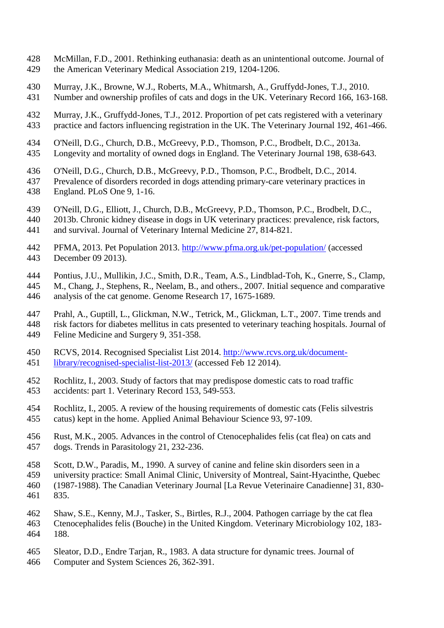- <span id="page-18-7"></span> McMillan, F.D., 2001. Rethinking euthanasia: death as an unintentional outcome. Journal of the American Veterinary Medical Association 219, 1204-1206.
- <span id="page-18-0"></span> Murray, J.K., Browne, W.J., Roberts, M.A., Whitmarsh, A., Gruffydd-Jones, T.J., 2010. Number and ownership profiles of cats and dogs in the UK. Veterinary Record 166, 163-168.
- <span id="page-18-11"></span> Murray, J.K., Gruffydd-Jones, T.J., 2012. Proportion of pet cats registered with a veterinary practice and factors influencing registration in the UK. The Veterinary Journal 192, 461-466.
- <span id="page-18-4"></span>O'Neill, D.G., Church, D.B., McGreevy, P.D., Thomson, P.C., Brodbelt, D.C., 2013a.
- Longevity and mortality of owned dogs in England. The Veterinary Journal 198, 638-643.
- <span id="page-18-13"></span>O'Neill, D.G., Church, D.B., McGreevy, P.D., Thomson, P.C., Brodbelt, D.C., 2014.
- Prevalence of disorders recorded in dogs attending primary-care veterinary practices in England. PLoS One 9, 1-16.
- <span id="page-18-5"></span>O'Neill, D.G., Elliott, J., Church, D.B., McGreevy, P.D., Thomson, P.C., Brodbelt, D.C.,
- 2013b. Chronic kidney disease in dogs in UK veterinary practices: prevalence, risk factors, and survival. Journal of Veterinary Internal Medicine 27, 814-821.
- <span id="page-18-1"></span> PFMA, 2013. Pet Population 2013.<http://www.pfma.org.uk/pet-population/> (accessed December 09 2013).
- <span id="page-18-2"></span>Pontius, J.U., Mullikin, J.C., Smith, D.R., Team, A.S., Lindblad-Toh, K., Gnerre, S., Clamp,
- M., Chang, J., Stephens, R., Neelam, B., and others., 2007. Initial sequence and comparative analysis of the cat genome. Genome Research 17, 1675-1689.
- <span id="page-18-10"></span> Prahl, A., Guptill, L., Glickman, N.W., Tetrick, M., Glickman, L.T., 2007. Time trends and risk factors for diabetes mellitus in cats presented to veterinary teaching hospitals. Journal of Feline Medicine and Surgery 9, 351-358.
- <span id="page-18-3"></span>RCVS, 2014. Recognised Specialist List 2014. [http://www.rcvs.org.uk/document-](http://www.rcvs.org.uk/document-library/recognised-specialist-list-2013/)
- [library/recognised-specialist-list-2013/](http://www.rcvs.org.uk/document-library/recognised-specialist-list-2013/) (accessed Feb 12 2014).
- <span id="page-18-14"></span> Rochlitz, I., 2003. Study of factors that may predispose domestic cats to road traffic accidents: part 1. Veterinary Record 153, 549-553.
- <span id="page-18-12"></span> Rochlitz, I., 2005. A review of the housing requirements of domestic cats (Felis silvestris catus) kept in the home. Applied Animal Behaviour Science 93, 97-109.
- <span id="page-18-8"></span> Rust, M.K., 2005. Advances in the control of Ctenocephalides felis (cat flea) on cats and dogs. Trends in Parasitology 21, 232-236.
- <span id="page-18-15"></span>Scott, D.W., Paradis, M., 1990. A survey of canine and feline skin disorders seen in a
- university practice: Small Animal Clinic, University of Montreal, Saint-Hyacinthe, Quebec (1987-1988). The Canadian Veterinary Journal [La Revue Veterinaire Canadienne] 31, 830-
- 835.
- <span id="page-18-9"></span> Shaw, S.E., Kenny, M.J., Tasker, S., Birtles, R.J., 2004. Pathogen carriage by the cat flea Ctenocephalides felis (Bouche) in the United Kingdom. Veterinary Microbiology 102, 183- 188.
- <span id="page-18-6"></span> Sleator, D.D., Endre Tarjan, R., 1983. A data structure for dynamic trees. Journal of Computer and System Sciences 26, 362-391.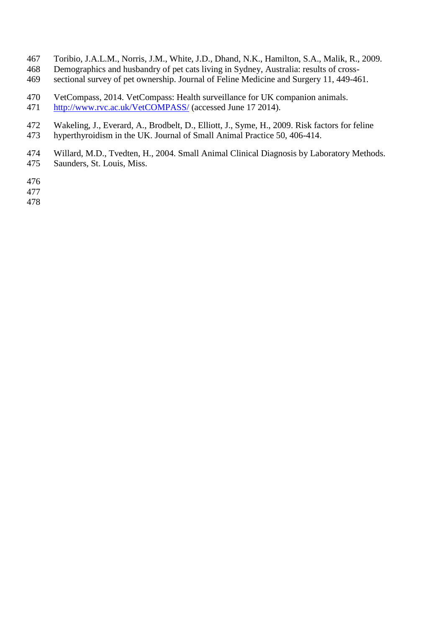- <span id="page-19-2"></span>Toribio, J.A.L.M., Norris, J.M., White, J.D., Dhand, N.K., Hamilton, S.A., Malik, R., 2009.
- Demographics and husbandry of pet cats living in Sydney, Australia: results of cross-
- sectional survey of pet ownership. Journal of Feline Medicine and Surgery 11, 449-461.
- <span id="page-19-0"></span> VetCompass, 2014. VetCompass: Health surveillance for UK companion animals. <http://www.rvc.ac.uk/VetCOMPASS/> (accessed June 17 2014).
- <span id="page-19-3"></span>Wakeling, J., Everard, A., Brodbelt, D., Elliott, J., Syme, H., 2009. Risk factors for feline
- hyperthyroidism in the UK. Journal of Small Animal Practice 50, 406-414.
- <span id="page-19-1"></span>Willard, M.D., Tvedten, H., 2004. Small Animal Clinical Diagnosis by Laboratory Methods.
- Saunders, St. Louis, Miss.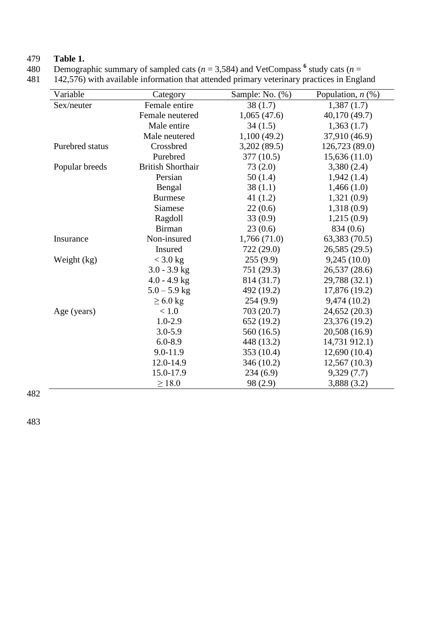# 479 **Table 1.**

480 Demographic summary of sampled cats ( $n = 3,584$ ) and VetCompass  $\frac{6}{5}$  study cats ( $n =$ 

481 142,576) with available information that attended primary veterinary practices in England

| Variable        | Category                 | Sample: No. (%) | Population, $n$ $(\%)$ |
|-----------------|--------------------------|-----------------|------------------------|
| Sex/neuter      | Female entire            | 38(1.7)         | 1,387(1.7)             |
|                 | Female neutered          | 1,065(47.6)     | 40,170 (49.7)          |
|                 | Male entire              | 34(1.5)         | 1,363(1.7)             |
|                 | Male neutered            | 1,100(49.2)     | 37,910 (46.9)          |
| Purebred status | Crossbred                | 3,202(89.5)     | 126,723 (89.0)         |
|                 | Purebred                 | 377 (10.5)      | 15,636(11.0)           |
| Popular breeds  | <b>British Shorthair</b> | 73(2.0)         | 3,380(2.4)             |
|                 | Persian                  | 50(1.4)         | 1,942(1.4)             |
|                 | Bengal                   | 38(1.1)         | 1,466(1.0)             |
|                 | <b>Burmese</b>           | 41 $(1.2)$      | 1,321(0.9)             |
|                 | Siamese                  | 22(0.6)         | 1,318(0.9)             |
|                 | Ragdoll                  | 33(0.9)         | 1,215(0.9)             |
|                 | <b>Birman</b>            | 23(0.6)         | 834 (0.6)              |
| Insurance       | Non-insured              | 1,766(71.0)     | 63,383 (70.5)          |
|                 | Insured                  | 722 (29.0)      | 26,585 (29.5)          |
| Weight (kg)     | $<$ 3.0 kg               | 255(9.9)        | 9,245(10.0)            |
|                 | $3.0 - 3.9$ kg           | 751 (29.3)      | 26,537 (28.6)          |
|                 | $4.0 - 4.9$ kg           | 814 (31.7)      | 29,788 (32.1)          |
|                 | $5.0 - 5.9$ kg           | 492 (19.2)      | 17,876 (19.2)          |
|                 | $\geq 6.0$ kg            | 254(9.9)        | 9,474(10.2)            |
| Age (years)     | $<1.0$                   | 703 (20.7)      | 24,652 (20.3)          |
|                 | $1.0 - 2.9$              | 652(19.2)       | 23,376 (19.2)          |
|                 | $3.0 - 5.9$              | 560 (16.5)      | 20,508 (16.9)          |
|                 | $6.0 - 8.9$              | 448 (13.2)      | 14,731 912.1)          |
|                 | 9.0-11.9                 | 353 (10.4)      | 12,690(10.4)           |
|                 | 12.0-14.9                | 346 (10.2)      | 12,567 (10.3)          |
|                 | 15.0-17.9                | 234(6.9)        | 9,329(7.7)             |
|                 | $\geq$ 18.0              | 98 (2.9)        | 3,888 (3.2)            |

482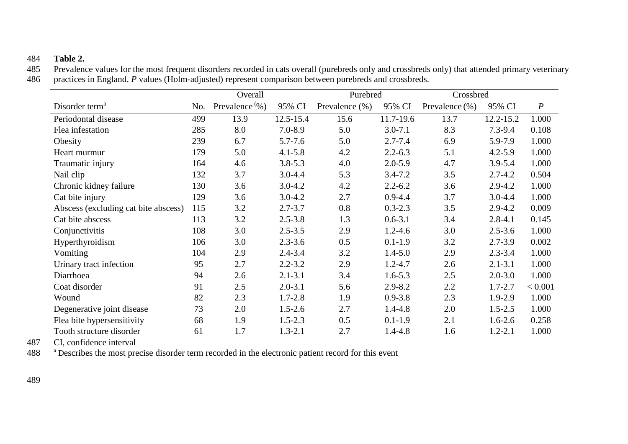## 484 **Table 2.**

Prevalence values for the most frequent disorders recorded in cats overall (purebreds only and crossbreds only) that attended primary veterinary 486 practices in England. *P* values (Holm-adjusted) represent comparison between purebreds and crossbreds.

|                                      |     | Overall           |             | Purebred       |             | Crossbred          |             |                  |
|--------------------------------------|-----|-------------------|-------------|----------------|-------------|--------------------|-------------|------------------|
| Disorder term <sup>a</sup>           | No. | Prevalence $\%$ ) | 95% CI      | Prevalence (%) | 95% CI      | Prevalence $(\% )$ | 95% CI      | $\boldsymbol{P}$ |
| Periodontal disease                  | 499 | 13.9              | 12.5-15.4   | 15.6           | 11.7-19.6   | 13.7               | 12.2-15.2   | 1.000            |
| Flea infestation                     | 285 | 8.0               | $7.0 - 8.9$ | 5.0            | $3.0 - 7.1$ | 8.3                | $7.3 - 9.4$ | 0.108            |
| Obesity                              | 239 | 6.7               | $5.7 - 7.6$ | 5.0            | $2.7 - 7.4$ | 6.9                | 5.9-7.9     | 1.000            |
| Heart murmur                         | 179 | 5.0               | $4.1 - 5.8$ | 4.2            | $2.2 - 6.3$ | 5.1                | $4.2 - 5.9$ | 1.000            |
| Traumatic injury                     | 164 | 4.6               | $3.8 - 5.3$ | 4.0            | $2.0 - 5.9$ | 4.7                | $3.9 - 5.4$ | 1.000            |
| Nail clip                            | 132 | 3.7               | $3.0 - 4.4$ | 5.3            | $3.4 - 7.2$ | 3.5                | $2.7 - 4.2$ | 0.504            |
| Chronic kidney failure               | 130 | 3.6               | $3.0 - 4.2$ | 4.2            | $2.2 - 6.2$ | 3.6                | $2.9 - 4.2$ | 1.000            |
| Cat bite injury                      | 129 | 3.6               | $3.0 - 4.2$ | 2.7            | $0.9 - 4.4$ | 3.7                | $3.0 - 4.4$ | 1.000            |
| Abscess (excluding cat bite abscess) | 115 | 3.2               | $2.7 - 3.7$ | 0.8            | $0.3 - 2.3$ | 3.5                | $2.9 - 4.2$ | 0.009            |
| Cat bite abscess                     | 113 | 3.2               | $2.5 - 3.8$ | 1.3            | $0.6 - 3.1$ | 3.4                | $2.8 - 4.1$ | 0.145            |
| Conjunctivitis                       | 108 | 3.0               | $2.5 - 3.5$ | 2.9            | $1.2 - 4.6$ | 3.0                | $2.5 - 3.6$ | 1.000            |
| Hyperthyroidism                      | 106 | 3.0               | $2.3 - 3.6$ | 0.5            | $0.1 - 1.9$ | 3.2                | $2.7 - 3.9$ | 0.002            |
| Vomiting                             | 104 | 2.9               | $2.4 - 3.4$ | 3.2            | $1.4 - 5.0$ | 2.9                | $2.3 - 3.4$ | 1.000            |
| Urinary tract infection              | 95  | 2.7               | $2.2 - 3.2$ | 2.9            | $1.2 - 4.7$ | 2.6                | $2.1 - 3.1$ | 1.000            |
| Diarrhoea                            | 94  | 2.6               | $2.1 - 3.1$ | 3.4            | $1.6 - 5.3$ | 2.5                | $2.0 - 3.0$ | 1.000            |
| Coat disorder                        | 91  | 2.5               | $2.0 - 3.1$ | 5.6            | $2.9 - 8.2$ | 2.2                | $1.7 - 2.7$ | < 0.001          |
| Wound                                | 82  | 2.3               | $1.7 - 2.8$ | 1.9            | $0.9 - 3.8$ | 2.3                | 1.9-2.9     | 1.000            |
| Degenerative joint disease           | 73  | 2.0               | $1.5 - 2.6$ | 2.7            | $1.4 - 4.8$ | 2.0                | $1.5 - 2.5$ | 1.000            |
| Flea bite hypersensitivity           | 68  | 1.9               | $1.5 - 2.3$ | 0.5            | $0.1 - 1.9$ | 2.1                | $1.6 - 2.6$ | 0.258            |
| Tooth structure disorder             | 61  | 1.7               | $1.3 - 2.1$ | 2.7            | $1.4 - 4.8$ | 1.6                | $1.2 - 2.1$ | 1.000            |

487 CI, confidence interval<br>488  $^{\circ}$  Describes the most pre

488 <sup>a</sup> Describes the most precise disorder term recorded in the electronic patient record for this event